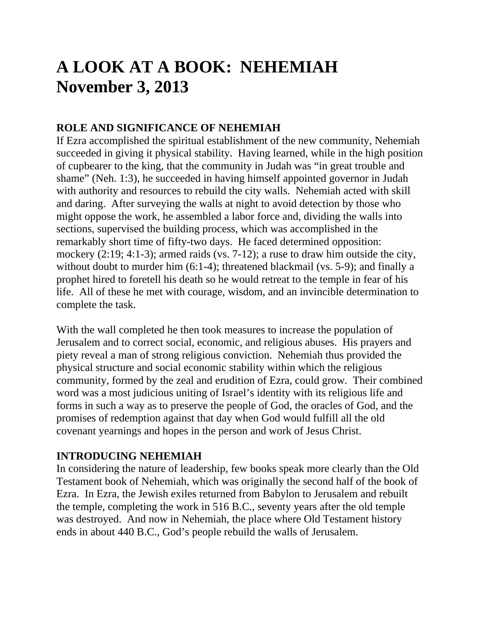# **A LOOK AT A BOOK: NEHEMIAH November 3, 2013**

# **ROLE AND SIGNIFICANCE OF NEHEMIAH**

If Ezra accomplished the spiritual establishment of the new community, Nehemiah succeeded in giving it physical stability. Having learned, while in the high position of cupbearer to the king, that the community in Judah was "in great trouble and shame" (Neh. 1:3), he succeeded in having himself appointed governor in Judah with authority and resources to rebuild the city walls. Nehemiah acted with skill and daring. After surveying the walls at night to avoid detection by those who might oppose the work, he assembled a labor force and, dividing the walls into sections, supervised the building process, which was accomplished in the remarkably short time of fifty-two days. He faced determined opposition: mockery (2:19; 4:1-3); armed raids (vs. 7-12); a ruse to draw him outside the city, without doubt to murder him (6:1-4); threatened blackmail (vs. 5-9); and finally a prophet hired to foretell his death so he would retreat to the temple in fear of his life. All of these he met with courage, wisdom, and an invincible determination to complete the task.

With the wall completed he then took measures to increase the population of Jerusalem and to correct social, economic, and religious abuses. His prayers and piety reveal a man of strong religious conviction. Nehemiah thus provided the physical structure and social economic stability within which the religious community, formed by the zeal and erudition of Ezra, could grow. Their combined word was a most judicious uniting of Israel's identity with its religious life and forms in such a way as to preserve the people of God, the oracles of God, and the promises of redemption against that day when God would fulfill all the old covenant yearnings and hopes in the person and work of Jesus Christ.

# **INTRODUCING NEHEMIAH**

In considering the nature of leadership, few books speak more clearly than the Old Testament book of Nehemiah, which was originally the second half of the book of Ezra. In Ezra, the Jewish exiles returned from Babylon to Jerusalem and rebuilt the temple, completing the work in 516 B.C., seventy years after the old temple was destroyed. And now in Nehemiah, the place where Old Testament history ends in about 440 B.C., God's people rebuild the walls of Jerusalem.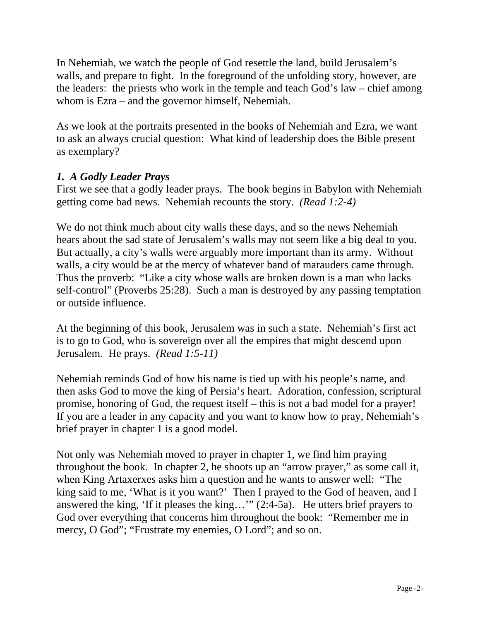In Nehemiah, we watch the people of God resettle the land, build Jerusalem's walls, and prepare to fight. In the foreground of the unfolding story, however, are the leaders: the priests who work in the temple and teach God's law – chief among whom is Ezra – and the governor himself, Nehemiah.

As we look at the portraits presented in the books of Nehemiah and Ezra, we want to ask an always crucial question: What kind of leadership does the Bible present as exemplary?

## *1. A Godly Leader Prays*

First we see that a godly leader prays. The book begins in Babylon with Nehemiah getting come bad news. Nehemiah recounts the story. *(Read 1:2-4)*

We do not think much about city walls these days, and so the news Nehemiah hears about the sad state of Jerusalem's walls may not seem like a big deal to you. But actually, a city's walls were arguably more important than its army. Without walls, a city would be at the mercy of whatever band of marauders came through. Thus the proverb: "Like a city whose walls are broken down is a man who lacks self-control" (Proverbs 25:28). Such a man is destroyed by any passing temptation or outside influence.

At the beginning of this book, Jerusalem was in such a state. Nehemiah's first act is to go to God, who is sovereign over all the empires that might descend upon Jerusalem. He prays. *(Read 1:5-11)* 

Nehemiah reminds God of how his name is tied up with his people's name, and then asks God to move the king of Persia's heart. Adoration, confession, scriptural promise, honoring of God, the request itself – this is not a bad model for a prayer! If you are a leader in any capacity and you want to know how to pray, Nehemiah's brief prayer in chapter 1 is a good model.

Not only was Nehemiah moved to prayer in chapter 1, we find him praying throughout the book. In chapter 2, he shoots up an "arrow prayer," as some call it, when King Artaxerxes asks him a question and he wants to answer well: "The king said to me, 'What is it you want?' Then I prayed to the God of heaven, and I answered the king, 'If it pleases the king…'" (2:4-5a). He utters brief prayers to God over everything that concerns him throughout the book: "Remember me in mercy, O God"; "Frustrate my enemies, O Lord"; and so on.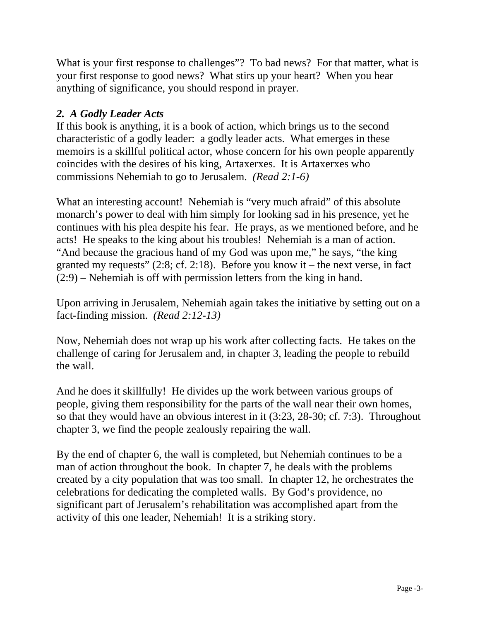What is your first response to challenges"? To bad news? For that matter, what is your first response to good news? What stirs up your heart? When you hear anything of significance, you should respond in prayer.

## *2. A Godly Leader Acts*

If this book is anything, it is a book of action, which brings us to the second characteristic of a godly leader: a godly leader acts. What emerges in these memoirs is a skillful political actor, whose concern for his own people apparently coincides with the desires of his king, Artaxerxes. It is Artaxerxes who commissions Nehemiah to go to Jerusalem. *(Read 2:1-6)* 

What an interesting account! Nehemiah is "very much afraid" of this absolute monarch's power to deal with him simply for looking sad in his presence, yet he continues with his plea despite his fear. He prays, as we mentioned before, and he acts! He speaks to the king about his troubles! Nehemiah is a man of action. "And because the gracious hand of my God was upon me," he says, "the king granted my requests"  $(2.8; cf. 2.18)$ . Before you know it – the next verse, in fact (2:9) – Nehemiah is off with permission letters from the king in hand.

Upon arriving in Jerusalem, Nehemiah again takes the initiative by setting out on a fact-finding mission. *(Read 2:12-13)* 

Now, Nehemiah does not wrap up his work after collecting facts. He takes on the challenge of caring for Jerusalem and, in chapter 3, leading the people to rebuild the wall.

And he does it skillfully! He divides up the work between various groups of people, giving them responsibility for the parts of the wall near their own homes, so that they would have an obvious interest in it (3:23, 28-30; cf. 7:3). Throughout chapter 3, we find the people zealously repairing the wall.

By the end of chapter 6, the wall is completed, but Nehemiah continues to be a man of action throughout the book. In chapter 7, he deals with the problems created by a city population that was too small. In chapter 12, he orchestrates the celebrations for dedicating the completed walls. By God's providence, no significant part of Jerusalem's rehabilitation was accomplished apart from the activity of this one leader, Nehemiah! It is a striking story.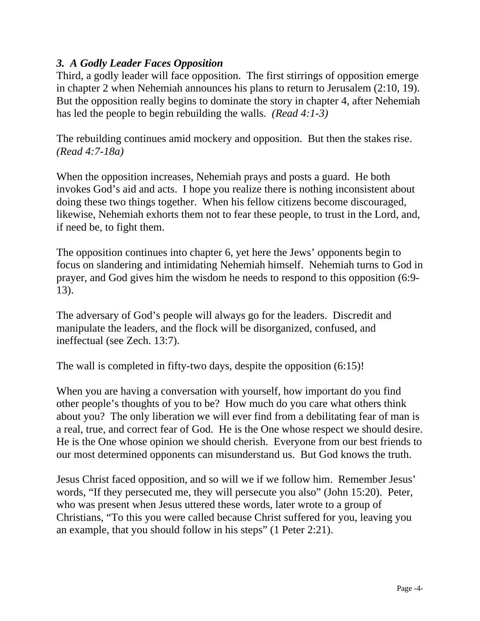### *3. A Godly Leader Faces Opposition*

Third, a godly leader will face opposition. The first stirrings of opposition emerge in chapter 2 when Nehemiah announces his plans to return to Jerusalem (2:10, 19). But the opposition really begins to dominate the story in chapter 4, after Nehemiah has led the people to begin rebuilding the walls. *(Read 4:1-3)* 

The rebuilding continues amid mockery and opposition. But then the stakes rise. *(Read 4:7-18a)* 

When the opposition increases, Nehemiah prays and posts a guard. He both invokes God's aid and acts. I hope you realize there is nothing inconsistent about doing these two things together. When his fellow citizens become discouraged, likewise, Nehemiah exhorts them not to fear these people, to trust in the Lord, and, if need be, to fight them.

The opposition continues into chapter 6, yet here the Jews' opponents begin to focus on slandering and intimidating Nehemiah himself. Nehemiah turns to God in prayer, and God gives him the wisdom he needs to respond to this opposition (6:9- 13).

The adversary of God's people will always go for the leaders. Discredit and manipulate the leaders, and the flock will be disorganized, confused, and ineffectual (see Zech. 13:7).

The wall is completed in fifty-two days, despite the opposition (6:15)!

When you are having a conversation with yourself, how important do you find other people's thoughts of you to be? How much do you care what others think about you? The only liberation we will ever find from a debilitating fear of man is a real, true, and correct fear of God. He is the One whose respect we should desire. He is the One whose opinion we should cherish. Everyone from our best friends to our most determined opponents can misunderstand us. But God knows the truth.

Jesus Christ faced opposition, and so will we if we follow him. Remember Jesus' words, "If they persecuted me, they will persecute you also" (John 15:20). Peter, who was present when Jesus uttered these words, later wrote to a group of Christians, "To this you were called because Christ suffered for you, leaving you an example, that you should follow in his steps" (1 Peter 2:21).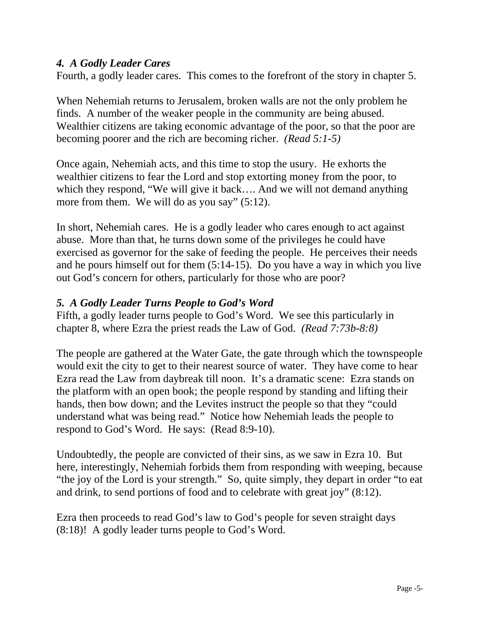#### *4. A Godly Leader Cares*

Fourth, a godly leader cares. This comes to the forefront of the story in chapter 5.

When Nehemiah returns to Jerusalem, broken walls are not the only problem he finds. A number of the weaker people in the community are being abused. Wealthier citizens are taking economic advantage of the poor, so that the poor are becoming poorer and the rich are becoming richer. *(Read 5:1-5)* 

Once again, Nehemiah acts, and this time to stop the usury. He exhorts the wealthier citizens to fear the Lord and stop extorting money from the poor, to which they respond, "We will give it back…. And we will not demand anything more from them. We will do as you say" (5:12).

In short, Nehemiah cares. He is a godly leader who cares enough to act against abuse. More than that, he turns down some of the privileges he could have exercised as governor for the sake of feeding the people. He perceives their needs and he pours himself out for them (5:14-15). Do you have a way in which you live out God's concern for others, particularly for those who are poor?

#### *5. A Godly Leader Turns People to God's Word*

Fifth, a godly leader turns people to God's Word. We see this particularly in chapter 8, where Ezra the priest reads the Law of God. *(Read 7:73b-8:8)* 

The people are gathered at the Water Gate, the gate through which the townspeople would exit the city to get to their nearest source of water. They have come to hear Ezra read the Law from daybreak till noon. It's a dramatic scene: Ezra stands on the platform with an open book; the people respond by standing and lifting their hands, then bow down; and the Levites instruct the people so that they "could understand what was being read." Notice how Nehemiah leads the people to respond to God's Word. He says: (Read 8:9-10).

Undoubtedly, the people are convicted of their sins, as we saw in Ezra 10. But here, interestingly, Nehemiah forbids them from responding with weeping, because "the joy of the Lord is your strength." So, quite simply, they depart in order "to eat and drink, to send portions of food and to celebrate with great joy" (8:12).

Ezra then proceeds to read God's law to God's people for seven straight days (8:18)! A godly leader turns people to God's Word.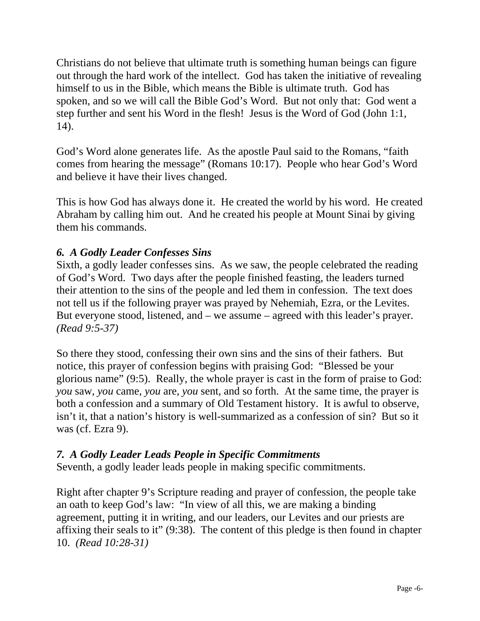Christians do not believe that ultimate truth is something human beings can figure out through the hard work of the intellect. God has taken the initiative of revealing himself to us in the Bible, which means the Bible is ultimate truth. God has spoken, and so we will call the Bible God's Word. But not only that: God went a step further and sent his Word in the flesh! Jesus is the Word of God (John 1:1, 14).

God's Word alone generates life. As the apostle Paul said to the Romans, "faith comes from hearing the message" (Romans 10:17). People who hear God's Word and believe it have their lives changed.

This is how God has always done it. He created the world by his word. He created Abraham by calling him out. And he created his people at Mount Sinai by giving them his commands.

## *6. A Godly Leader Confesses Sins*

Sixth, a godly leader confesses sins. As we saw, the people celebrated the reading of God's Word. Two days after the people finished feasting, the leaders turned their attention to the sins of the people and led them in confession. The text does not tell us if the following prayer was prayed by Nehemiah, Ezra, or the Levites. But everyone stood, listened, and – we assume – agreed with this leader's prayer. *(Read 9:5-37)* 

So there they stood, confessing their own sins and the sins of their fathers. But notice, this prayer of confession begins with praising God: "Blessed be your glorious name" (9:5). Really, the whole prayer is cast in the form of praise to God: *you* saw, *you* came, *you* are, *you* sent, and so forth. At the same time, the prayer is both a confession and a summary of Old Testament history. It is awful to observe, isn't it, that a nation's history is well-summarized as a confession of sin? But so it was (cf. Ezra 9).

## *7. A Godly Leader Leads People in Specific Commitments*

Seventh, a godly leader leads people in making specific commitments.

Right after chapter 9's Scripture reading and prayer of confession, the people take an oath to keep God's law: "In view of all this, we are making a binding agreement, putting it in writing, and our leaders, our Levites and our priests are affixing their seals to it" (9:38). The content of this pledge is then found in chapter 10. *(Read 10:28-31)*